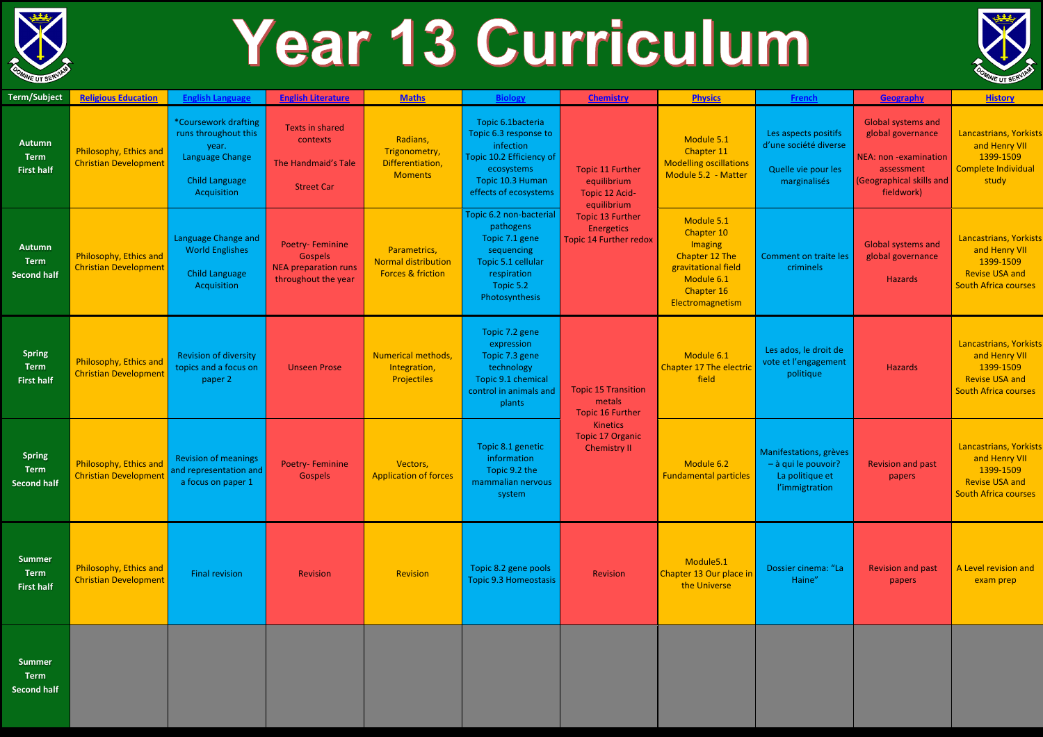

## Year 13 Curriculum

|                                                    |                                                        |                                                                                                                  |                                                                                                |                                                                     |                                                                                                                                                |                                                                                                                                                   |                                                                                                                              |                                                                                      |                                                                                                                                 | ----                                                                                                                |
|----------------------------------------------------|--------------------------------------------------------|------------------------------------------------------------------------------------------------------------------|------------------------------------------------------------------------------------------------|---------------------------------------------------------------------|------------------------------------------------------------------------------------------------------------------------------------------------|---------------------------------------------------------------------------------------------------------------------------------------------------|------------------------------------------------------------------------------------------------------------------------------|--------------------------------------------------------------------------------------|---------------------------------------------------------------------------------------------------------------------------------|---------------------------------------------------------------------------------------------------------------------|
| <b>Term/Subject</b>                                | <b>Religious Education</b>                             | <b>English Language</b>                                                                                          | <b>English Literature</b>                                                                      | <b>Maths</b>                                                        | <b>Biology</b>                                                                                                                                 | <b>Chemistry</b>                                                                                                                                  | <b>Physics</b>                                                                                                               | French                                                                               | Geography                                                                                                                       | <b>History</b>                                                                                                      |
| <b>Autumn</b><br><b>Term</b><br><b>First half</b>  | Philosophy, Ethics and<br><b>Christian Development</b> | *Coursework drafting<br>runs throughout this<br>year.<br>Language Change<br><b>Child Language</b><br>Acquisition | <b>Texts in shared</b><br>contexts<br>The Handmaid's Tale<br><b>Street Car</b>                 | Radians,<br>Trigonometry,<br>Differentiation,<br><b>Moments</b>     | Topic 6.1bacteria<br>Topic 6.3 response to<br>infection<br>Topic 10.2 Efficiency of<br>ecosystems<br>Topic 10.3 Human<br>effects of ecosystems | <b>Topic 11 Further</b><br>equilibrium<br>Topic 12 Acid-<br>equilibrium<br><b>Topic 13 Further</b><br>Energetics<br><b>Topic 14 Further redox</b> | Module 5.1<br>Chapter 11<br><b>Modelling oscillations</b><br>Module 5.2 - Matter                                             | Les aspects positifs<br>d'une société diverse<br>Quelle vie pour les<br>marginalisés | <b>Global systems and</b><br>global governance<br>NEA: non -examination<br>assessment<br>(Geographical skills and<br>fieldwork) | Lancastrians, Yorkists<br>and Henry VII<br>1399-1509<br>Complete Individual<br>study                                |
| <b>Autumn</b><br><b>Term</b><br><b>Second half</b> | Philosophy, Ethics and<br><b>Christian Development</b> | Language Change and<br><b>World Englishes</b><br><b>Child Language</b><br>Acquisition                            | <b>Poetry-Feminine</b><br><b>Gospels</b><br><b>NEA</b> preparation runs<br>throughout the year | Parametrics,<br>Normal distribution<br><b>Forces &amp; friction</b> | Topic 6.2 non-bacterial<br>pathogens<br>Topic 7.1 gene<br>sequencing<br>Topic 5.1 cellular<br>respiration<br>Topic 5.2<br>Photosynthesis       |                                                                                                                                                   | Module 5.1<br>Chapter 10<br>Imaging<br>Chapter 12 The<br>gravitational field<br>Module 6.1<br>Chapter 16<br>Electromagnetism | Comment on traite les<br>criminels                                                   | <b>Global systems and</b><br>global governance<br>Hazards                                                                       | Lancastrians, Yorkists<br>and Henry VII<br>1399-1509<br><b>Revise USA and</b><br>South Africa courses               |
| <b>Spring</b><br><b>Term</b><br><b>First half</b>  | Philosophy, Ethics and<br><b>Christian Development</b> | <b>Revision of diversity</b><br>topics and a focus on<br>paper 2                                                 | <b>Unseen Prose</b>                                                                            | <b>Numerical methods,</b><br>Integration,<br><b>Projectiles</b>     | Topic 7.2 gene<br>expression<br>Topic 7.3 gene<br>technology<br>Topic 9.1 chemical<br>control in animals and<br>plants                         | <b>Topic 15 Transition</b><br>metals<br><b>Topic 16 Further</b><br><b>Kinetics</b><br><b>Topic 17 Organic</b><br><b>Chemistry II</b>              | Module 6.1<br><b>Chapter 17 The electric</b><br>field                                                                        | Les ados, le droit de<br>vote et l'engagement<br>politique                           | <b>Hazards</b>                                                                                                                  | Lancastrians, Yorkists<br>and Henry VII<br>1399-1509<br><b>Revise USA and</b><br><b>South Africa courses</b>        |
| <b>Spring</b><br><b>Term</b><br><b>Second half</b> | Philosophy, Ethics and<br><b>Christian Development</b> | <b>Revision of meanings</b><br>and representation and<br>a focus on paper 1                                      | <b>Poetry-Feminine</b><br><b>Gospels</b>                                                       | Vectors,<br><b>Application of forces</b>                            | Topic 8.1 genetic<br>information<br>Topic 9.2 the<br>mammalian nervous<br>system                                                               |                                                                                                                                                   | Module 6.2<br><b>Fundamental particles</b>                                                                                   | Manifestations, grèves<br>- à qui le pouvoir?<br>La politique et<br>l'immigtration   | <b>Revision and past</b><br>papers                                                                                              | <b>Lancastrians, Yorkists</b><br>and Henry VII<br>1399-1509<br><b>Revise USA and</b><br><b>South Africa courses</b> |
| <b>Summer</b><br>Term<br><b>First half</b>         | Philosophy, Ethics and<br>Christian Development        | <b>Final revision</b>                                                                                            | Revision                                                                                       | Revision                                                            | Topic 8.2 gene pools<br><b>Topic 9.3 Homeostasis</b>                                                                                           | Revision                                                                                                                                          | Module5.1<br>Chapter 13 Our place in<br>the Universe                                                                         | Dossier cinema: "La<br>Haine"                                                        | <b>Revision and past</b><br>papers                                                                                              | A Level revision and<br>exam prep                                                                                   |
| <b>Summer</b>                                      |                                                        |                                                                                                                  |                                                                                                |                                                                     |                                                                                                                                                |                                                                                                                                                   |                                                                                                                              |                                                                                      |                                                                                                                                 |                                                                                                                     |